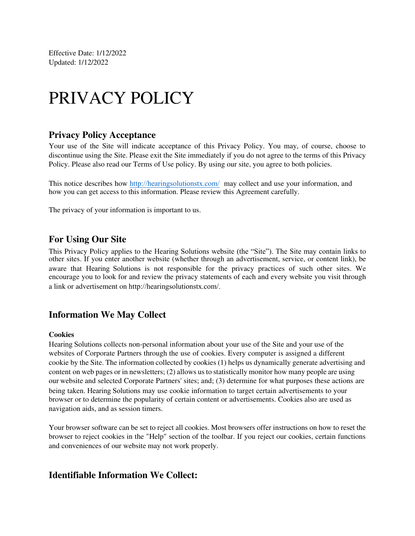Effective Date: 1/12/2022 Updated: 1/12/2022

# PRIVACY POLICY

#### **Privacy Policy Acceptance**

Your use of the Site will indicate acceptance of this Privacy Policy. You may, of course, choose to discontinue using the Site. Please exit the Site immediately if you do not agree to the terms of this Privacy Policy. Please also read our Terms of Use policy. By using our site, you agree to both policies.

This notice describes how [http://hearingsolutionstx.com/](https://www.hemphillhearing.com/) may collect and use your information, and how you can get access to this information. Please review this Agreement carefully.

The privacy of your information is important to us.

#### **For Using Our Site**

This Privacy Policy applies to the Hearing Solutions website (the "Site"). The Site may contain links to other sites. If you enter another website (whether through an advertisement, service, or content link), be aware that Hearing Solutions is not responsible for the privacy practices of such other sites. We encourage you to look for and review the privacy statements of each and every website you visit through a link or advertisement on http://hearingsolutionstx.com/.

#### **Information We May Collect**

#### **Cookies**

Hearing Solutions collects non-personal information about your use of the Site and your use of the websites of Corporate Partners through the use of cookies. Every computer is assigned a different cookie by the Site. The information collected by cookies (1) helps us dynamically generate advertising and content on web pages or in newsletters; (2) allows us to statistically monitor how many people are using our website and selected Corporate Partners' sites; and; (3) determine for what purposes these actions are being taken. Hearing Solutions may use cookie information to target certain advertisements to your browser or to determine the popularity of certain content or advertisements. Cookies also are used as navigation aids, and as session timers.

Your browser software can be set to reject all cookies. Most browsers offer instructions on how to reset the browser to reject cookies in the "Help" section of the toolbar. If you reject our cookies, certain functions and conveniences of our website may not work properly.

#### **Identifiable Information We Collect:**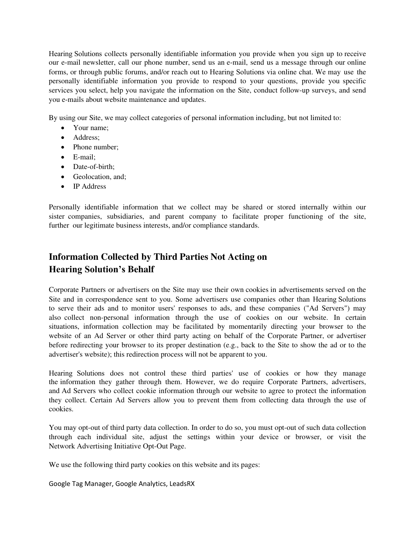Hearing Solutions collects personally identifiable information you provide when you sign up to receive our e-mail newsletter, call our phone number, send us an e-mail, send us a message through our online forms, or through public forums, and/or reach out to Hearing Solutions via online chat. We may use the personally identifiable information you provide to respond to your questions, provide you specific services you select, help you navigate the information on the Site, conduct follow-up surveys, and send you e-mails about website maintenance and updates.

By using our Site, we may collect categories of personal information including, but not limited to:

- Your name:
- Address;
- Phone number;
- E-mail;
- Date-of-birth:
- Geolocation, and;
- IP Address

Personally identifiable information that we collect may be shared or stored internally within our sister companies, subsidiaries, and parent company to facilitate proper functioning of the site, further our legitimate business interests, and/or compliance standards.

## **Information Collected by Third Parties Not Acting on Hearing Solution's Behalf**

Corporate Partners or advertisers on the Site may use their own cookies in advertisements served on the Site and in correspondence sent to you. Some advertisers use companies other than Hearing Solutions to serve their ads and to monitor users' responses to ads, and these companies ("Ad Servers") may also collect non-personal information through the use of cookies on our website. In certain situations, information collection may be facilitated by momentarily directing your browser to the website of an Ad Server or other third party acting on behalf of the Corporate Partner, or advertiser before redirecting your browser to its proper destination (e.g., back to the Site to show the ad or to the advertiser's website); this redirection process will not be apparent to you.

Hearing Solutions does not control these third parties' use of cookies or how they manage the information they gather through them. However, we do require Corporate Partners, advertisers, and Ad Servers who collect cookie information through our website to agree to protect the information they collect. Certain Ad Servers allow you to prevent them from collecting data through the use of cookies.

You may opt-out of third party data collection. In order to do so, you must opt-out of such data collection through each individual site, adjust the settings within your device or browser, or visit the Network Advertising Initiative Opt-Out Page.

We use the following third party cookies on this website and its pages:

Google Tag Manager, Google Analytics, LeadsRX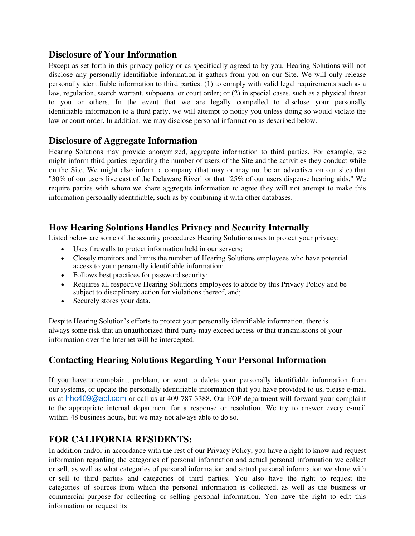#### **Disclosure of Your Information**

Except as set forth in this privacy policy or as specifically agreed to by you, Hearing Solutions will not disclose any personally identifiable information it gathers from you on our Site. We will only release personally identifiable information to third parties: (1) to comply with valid legal requirements such as a law, regulation, search warrant, subpoena, or court order; or (2) in special cases, such as a physical threat to you or others. In the event that we are legally compelled to disclose your personally identifiable information to a third party, we will attempt to notify you unless doing so would violate the law or court order. In addition, we may disclose personal information as described below.

## **Disclosure of Aggregate Information**

Hearing Solutions may provide anonymized, aggregate information to third parties. For example, we might inform third parties regarding the number of users of the Site and the activities they conduct while on the Site. We might also inform a company (that may or may not be an advertiser on our site) that "30% of our users live east of the Delaware River" or that "25% of our users dispense hearing aids." We require parties with whom we share aggregate information to agree they will not attempt to make this information personally identifiable, such as by combining it with other databases.

### **How Hearing Solutions Handles Privacy and Security Internally**

Listed below are some of the security procedures Hearing Solutions uses to protect your privacy:

- Uses firewalls to protect information held in our servers;
- Closely monitors and limits the number of Hearing Solutions employees who have potential access to your personally identifiable information;
- Follows best practices for password security;
- Requires all respective Hearing Solutions employees to abide by this Privacy Policy and be subject to disciplinary action for violations thereof, and;
- Securely stores your data.

Despite Hearing Solution's efforts to protect your personally identifiable information, there is always some risk that an unauthorized third-party may exceed access or that transmissions of your information over the Internet will be intercepted.

## **Contacting Hearing Solutions Regarding Your Personal Information**

[If you have a comp](mailto:hhc409@aol.com)laint, problem, or want to delete your personally identifiable information from our systems, or update the personally identifiable information that you have provided to us, please e-mail us at hhc409@aol.com or call us at 409-787-3388. Our FOP department will forward your complaint to the appropriate internal department for a response or resolution. We try to answer every e-mail within 48 business hours, but we may not always able to do so.

#### **FOR CALIFORNIA RESIDENTS:**

In addition and/or in accordance with the rest of our Privacy Policy, you have a right to know and request information regarding the categories of personal information and actual personal information we collect or sell, as well as what categories of personal information and actual personal information we share with or sell to third parties and categories of third parties. You also have the right to request the categories of sources from which the personal information is collected, as well as the business or commercial purpose for collecting or selling personal information. You have the right to edit this information or request its